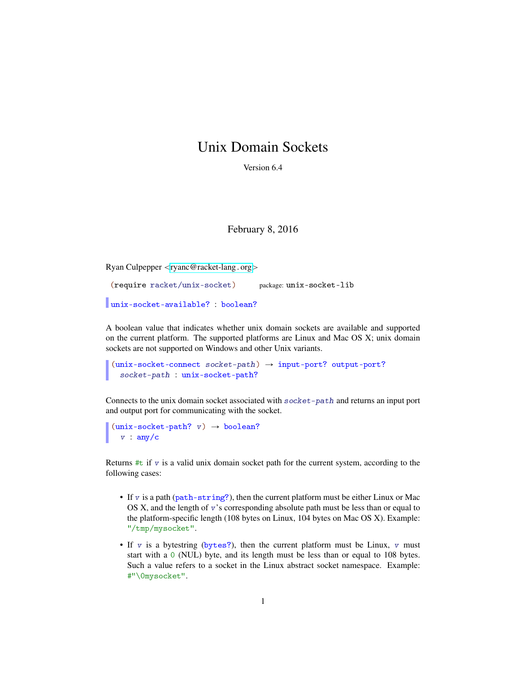## Unix Domain Sockets

Version 6.4

## February 8, 2016

Ryan Culpepper <[ryanc@racket-lang](mailto:ryanc@racket-lang.org).org>

```
(require racket/unix-socket) package: unix-socket-lib
unix-socket-available? : boolean?
```
A boolean value that indicates whether unix domain sockets are available and supported on the current platform. The supported platforms are Linux and Mac OS X; unix domain sockets are not supported on Windows and other Unix variants.

```
(unix-socket-connect\; socket-path) \rightarrow input-port? output-port?socket-path : unix-socket-path?
```
Connects to the unix domain socket associated with socket-path and returns an input port and output port for communicating with the socket.

```
(unix-sockets-path? v) \rightarrow boolean?v : any/c
```
Returns  $\#t$  if v is a valid unix domain socket path for the current system, according to the following cases:

- If  $v$  is a path ( $path\text{-}string$ ?), then the current platform must be either Linux or Mac OS X, and the length of  $v$ 's corresponding absolute path must be less than or equal to the platform-specific length (108 bytes on Linux, 104 bytes on Mac OS X). Example: "/tmp/mysocket".
- If v is a bytestring (bytes?), then the current platform must be Linux, v must start with a 0 (NUL) byte, and its length must be less than or equal to 108 bytes. Such a value refers to a socket in the Linux abstract socket namespace. Example: #"\0mysocket".